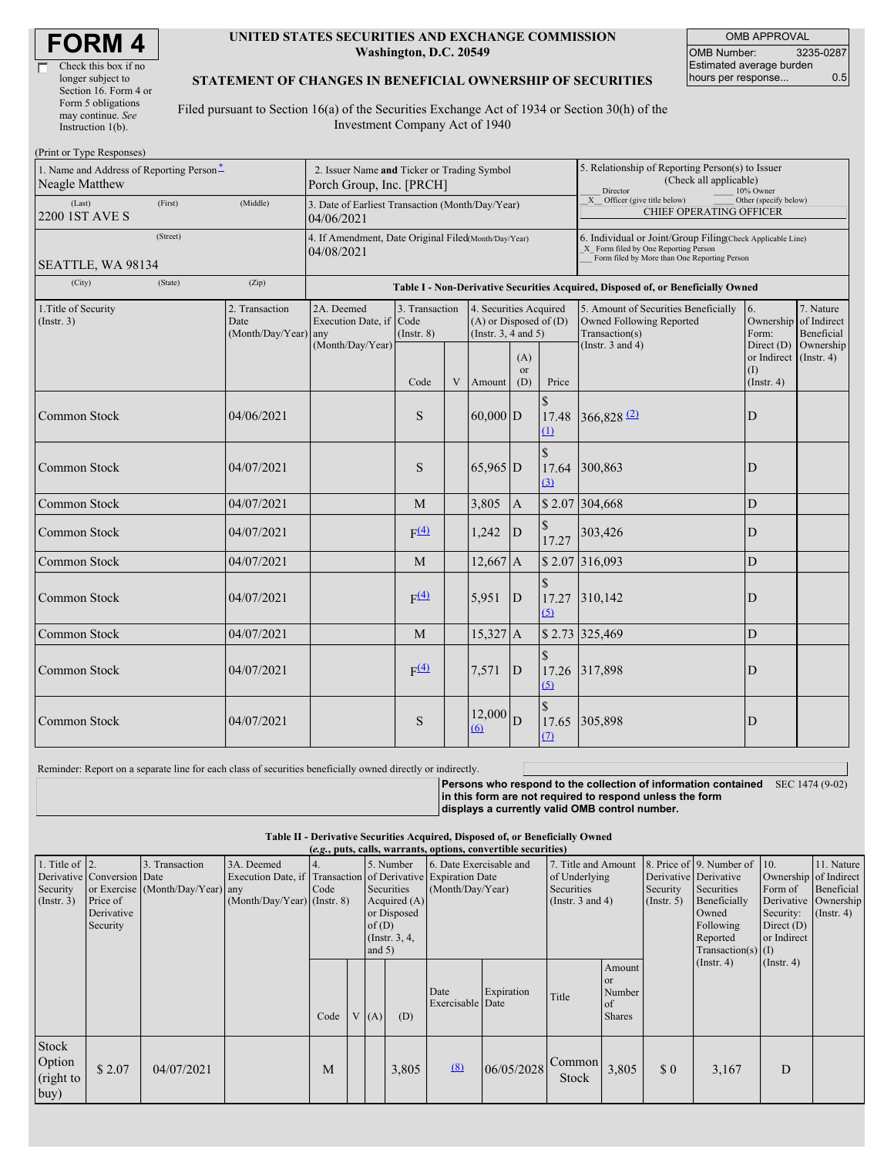| <b>FORM4</b> |
|--------------|
|--------------|

г

| Check this box if no  |
|-----------------------|
| longer subject to     |
| Section 16. Form 4 or |
| Form 5 obligations    |
| may continue. See     |
| Instruction $1(b)$ .  |
|                       |

#### **UNITED STATES SECURITIES AND EXCHANGE COMMISSION Washington, D.C. 20549**

OMB APPROVAL OMB Number: 3235-0287 Estimated average burden hours per response... 0.5

#### **STATEMENT OF CHANGES IN BENEFICIAL OWNERSHIP OF SECURITIES**

Filed pursuant to Section 16(a) of the Securities Exchange Act of 1934 or Section 30(h) of the Investment Company Act of 1940

| (Print or Type Responses)                                         |                                                                         |                                                                    |                                                                |                                   |   |                                                                                                                                                    |                |                                                                |                                                                                    |                        |                                                                                                                     |  |  |  |
|-------------------------------------------------------------------|-------------------------------------------------------------------------|--------------------------------------------------------------------|----------------------------------------------------------------|-----------------------------------|---|----------------------------------------------------------------------------------------------------------------------------------------------------|----------------|----------------------------------------------------------------|------------------------------------------------------------------------------------|------------------------|---------------------------------------------------------------------------------------------------------------------|--|--|--|
| 1. Name and Address of Reporting Person*<br><b>Neagle Matthew</b> | 2. Issuer Name and Ticker or Trading Symbol<br>Porch Group, Inc. [PRCH] |                                                                    |                                                                |                                   |   | 5. Relationship of Reporting Person(s) to Issuer<br>(Check all applicable)<br>Director<br>10% Owner                                                |                |                                                                |                                                                                    |                        |                                                                                                                     |  |  |  |
| (Last)<br>2200 1ST AVE S                                          | (First)                                                                 | (Middle)                                                           | 3. Date of Earliest Transaction (Month/Day/Year)<br>04/06/2021 |                                   |   |                                                                                                                                                    |                | X Officer (give title below)<br><b>CHIEF OPERATING OFFICER</b> | Other (specify below)                                                              |                        |                                                                                                                     |  |  |  |
|                                                                   |                                                                         | 4. If Amendment, Date Original Filed(Month/Day/Year)<br>04/08/2021 |                                                                |                                   |   | 6. Individual or Joint/Group Filing(Check Applicable Line)<br>X Form filed by One Reporting Person<br>Form filed by More than One Reporting Person |                |                                                                |                                                                                    |                        |                                                                                                                     |  |  |  |
| SEATTLE, WA 98134                                                 |                                                                         |                                                                    |                                                                |                                   |   |                                                                                                                                                    |                |                                                                |                                                                                    |                        |                                                                                                                     |  |  |  |
| (City)                                                            | (State)                                                                 | (Zip)                                                              |                                                                |                                   |   |                                                                                                                                                    |                |                                                                | Table I - Non-Derivative Securities Acquired, Disposed of, or Beneficially Owned   |                        |                                                                                                                     |  |  |  |
| 1. Title of Security<br>(Insert. 3)                               |                                                                         | 2. Transaction<br>Date<br>(Month/Day/Year) any                     | 2A. Deemed<br>Execution Date, if Code                          | 3. Transaction<br>$($ Instr. $8)$ |   | 4. Securities Acquired<br>$(A)$ or Disposed of $(D)$<br>(Instr. 3, 4 and 5)                                                                        |                |                                                                | 5. Amount of Securities Beneficially<br>Owned Following Reported<br>Transaction(s) | <sup>6.</sup><br>Form: | 7. Nature<br>Ownership of Indirect<br>Beneficial<br>Direct $(D)$ Ownership<br>or Indirect (Instr. 4)<br>(Insert. 4) |  |  |  |
|                                                                   |                                                                         |                                                                    | (Month/Day/Year)                                               | Code                              | V |                                                                                                                                                    | (A)<br>or      | Price                                                          | (Instr. $3$ and $4$ )                                                              | (I)                    |                                                                                                                     |  |  |  |
| Common Stock                                                      |                                                                         | 04/06/2021                                                         |                                                                | S                                 |   | Amount<br>$60,000$ D                                                                                                                               | (D)            | 17.48<br>$\Omega$                                              | $366,828$ <sup>(2)</sup>                                                           | D                      |                                                                                                                     |  |  |  |
| Common Stock                                                      |                                                                         | 04/07/2021                                                         |                                                                | S                                 |   | $65,965$ D                                                                                                                                         |                | $\mathcal{S}$<br>17.64<br>(3)                                  | 300,863                                                                            | D                      |                                                                                                                     |  |  |  |
| <b>Common Stock</b>                                               |                                                                         | 04/07/2021                                                         |                                                                | M                                 |   | 3,805                                                                                                                                              | $\mathbf{A}$   |                                                                | \$2.07 304,668                                                                     | D                      |                                                                                                                     |  |  |  |
| Common Stock                                                      |                                                                         | 04/07/2021                                                         |                                                                | F(4)                              |   | 1,242                                                                                                                                              | D              | 17.27                                                          | 303,426                                                                            | D                      |                                                                                                                     |  |  |  |
| <b>Common Stock</b>                                               |                                                                         | 04/07/2021                                                         |                                                                | M                                 |   | $12,667$ A                                                                                                                                         |                |                                                                | $$2.07$ 316,093                                                                    | D                      |                                                                                                                     |  |  |  |
| <b>Common Stock</b>                                               |                                                                         | 04/07/2021                                                         |                                                                | F(4)                              |   | 5,951                                                                                                                                              | D              | 17.27<br>(5)                                                   | 310,142                                                                            | D                      |                                                                                                                     |  |  |  |
| <b>Common Stock</b>                                               |                                                                         | 04/07/2021                                                         |                                                                | M                                 |   | $15,327$ A                                                                                                                                         |                |                                                                | \$2.73 325,469                                                                     | $\mathbf D$            |                                                                                                                     |  |  |  |
| <b>Common Stock</b>                                               |                                                                         | 04/07/2021                                                         |                                                                | F(4)                              |   | 7,571                                                                                                                                              | D              | (5)                                                            | 17.26 317,898                                                                      | D                      |                                                                                                                     |  |  |  |
| <b>Common Stock</b>                                               |                                                                         | 04/07/2021                                                         |                                                                | S                                 |   | 12,000<br>(6)                                                                                                                                      | $\overline{D}$ | 17.65<br>(7)                                                   | 305,898                                                                            | D                      |                                                                                                                     |  |  |  |

Reminder: Report on a separate line for each class of securities beneficially owned directly or indirectly.

**Persons who respond to the collection of information contained** SEC 1474 (9-02) **in this form are not required to respond unless the form displays a currently valid OMB control number.**

**Table II - Derivative Securities Acquired, Disposed of, or Beneficially Owned (***e.g.***, puts, calls, warrants, options, convertible securities)**

| 1. Title of $\vert$ 2.<br>Security<br>$($ Instr. 3 $)$ | Derivative Conversion Date<br>Price of<br>Derivative<br>Security | 3. Transaction<br>or Exercise (Month/Day/Year) any | 3A. Deemed<br>$(Month/Day/Year)$ (Instr. 8) | ີອ່<br>Code | of(D)<br>and $5)$ | 5. Number<br>Securities<br>Acquired (A)<br>or Disposed<br>(Instr. $3, 4,$ | 6. Date Exercisable and<br>Execution Date, if Transaction of Derivative Expiration Date<br>(Month/Day/Year) |            | 7. Title and Amount<br>of Underlying<br><b>Securities</b><br>(Instr. 3 and 4) |                                                                     | Derivative Derivative<br>Security<br>(Insert. 5) | 8. Price of 9. Number of 10.<br>Securities<br>Beneficially<br>Owned<br>Following<br>Reported<br>$Transaction(s)$ (I) | Ownership of Indirect<br>Form of<br>Security:<br>Direct $(D)$<br>or Indirect | 11. Nature<br>Beneficial<br>Derivative Ownership<br>$($ Instr. 4 $)$ |
|--------------------------------------------------------|------------------------------------------------------------------|----------------------------------------------------|---------------------------------------------|-------------|-------------------|---------------------------------------------------------------------------|-------------------------------------------------------------------------------------------------------------|------------|-------------------------------------------------------------------------------|---------------------------------------------------------------------|--------------------------------------------------|----------------------------------------------------------------------------------------------------------------------|------------------------------------------------------------------------------|----------------------------------------------------------------------|
|                                                        |                                                                  |                                                    |                                             | Code        | V(A)              | (D)                                                                       | Date<br>Exercisable Date                                                                                    | Expiration | Title                                                                         | Amount<br><sub>or</sub><br>Number<br><sub>of</sub><br><b>Shares</b> |                                                  | $($ Instr. 4 $)$                                                                                                     | $($ Instr. 4 $)$                                                             |                                                                      |
| Stock<br>Option<br>(right to<br> buy)                  | \$2.07                                                           | 04/07/2021                                         |                                             | M           |                   | 3,805                                                                     | (8)                                                                                                         | 06/05/2028 | Common<br>Stock                                                               | 3,805                                                               | $\Omega$                                         | 3,167                                                                                                                | D                                                                            |                                                                      |